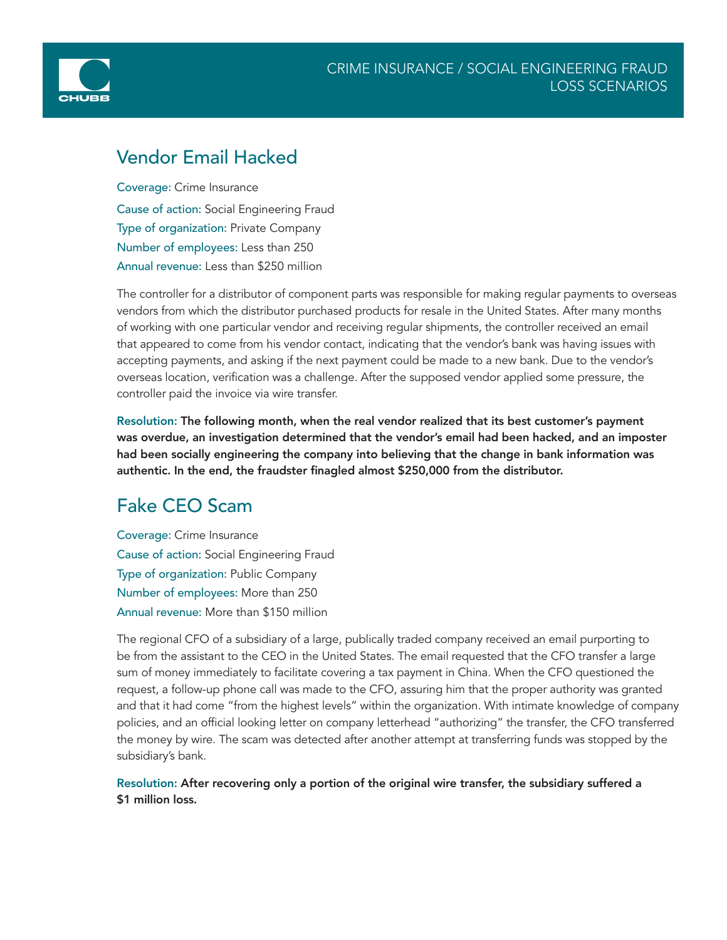



### Vendor Email Hacked

Coverage: Crime Insurance Cause of action: Social Engineering Fraud Type of organization: Private Company Number of employees: Less than 250 Annual revenue: Less than \$250 million

The controller for a distributor of component parts was responsible for making regular payments to overseas vendors from which the distributor purchased products for resale in the United States. After many months of working with one particular vendor and receiving regular shipments, the controller received an email that appeared to come from his vendor contact, indicating that the vendor's bank was having issues with accepting payments, and asking if the next payment could be made to a new bank. Due to the vendor's overseas location, verification was a challenge. After the supposed vendor applied some pressure, the controller paid the invoice via wire transfer.

Resolution: The following month, when the real vendor realized that its best customer's payment was overdue, an investigation determined that the vendor's email had been hacked, and an imposter had been socially engineering the company into believing that the change in bank information was authentic. In the end, the fraudster finagled almost \$250,000 from the distributor.

# Fake CEO Scam

Coverage: Crime Insurance Cause of action: Social Engineering Fraud Type of organization: Public Company Number of employees: More than 250 Annual revenue: More than \$150 million

The regional CFO of a subsidiary of a large, publically traded company received an email purporting to be from the assistant to the CEO in the United States. The email requested that the CFO transfer a large sum of money immediately to facilitate covering a tax payment in China. When the CFO questioned the request, a follow-up phone call was made to the CFO, assuring him that the proper authority was granted and that it had come "from the highest levels" within the organization. With intimate knowledge of company policies, and an official looking letter on company letterhead "authorizing" the transfer, the CFO transferred the money by wire. The scam was detected after another attempt at transferring funds was stopped by the subsidiary's bank.

#### Resolution: After recovering only a portion of the original wire transfer, the subsidiary suffered a \$1 million loss.